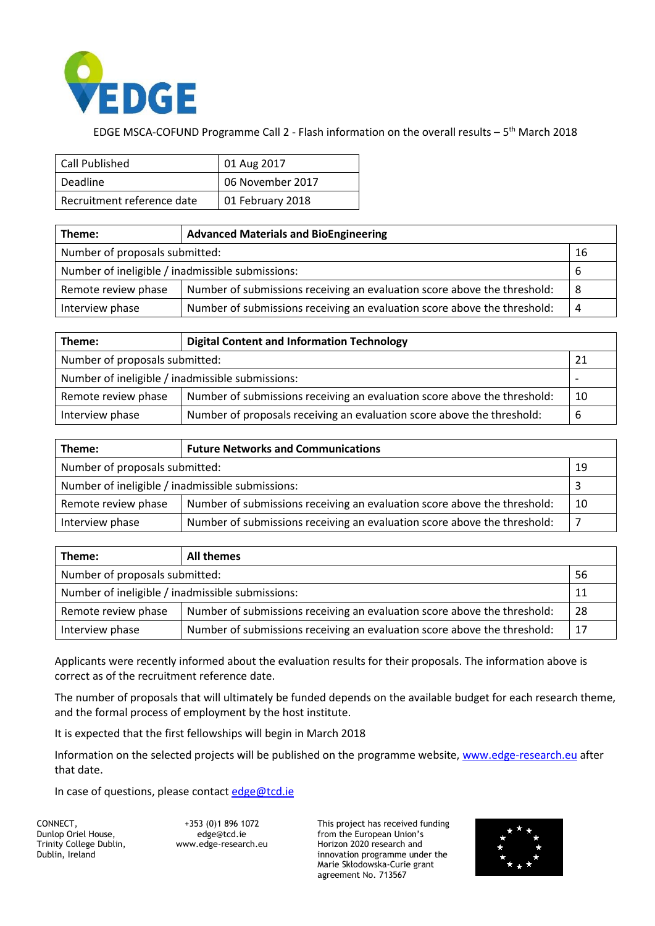

## EDGE MSCA-COFUND Programme Call 2 - Flash information on the overall results – 5<sup>th</sup> March 2018

| Call Published             | 01 Aug 2017      |  |
|----------------------------|------------------|--|
| Deadline                   | 06 November 2017 |  |
| Recruitment reference date | 01 February 2018 |  |

| Theme:                                                 | <b>Advanced Materials and BioEngineering</b>                             |    |  |
|--------------------------------------------------------|--------------------------------------------------------------------------|----|--|
| Number of proposals submitted:<br>16                   |                                                                          |    |  |
| Number of ineligible / inadmissible submissions:<br>-6 |                                                                          |    |  |
| Remote review phase                                    | Number of submissions receiving an evaluation score above the threshold: | -8 |  |
| Interview phase                                        | Number of submissions receiving an evaluation score above the threshold: | 4  |  |

| Theme:                                           | <b>Digital Content and Information Technology</b>                        |    |  |
|--------------------------------------------------|--------------------------------------------------------------------------|----|--|
| Number of proposals submitted:<br>-21            |                                                                          |    |  |
| Number of ineligible / inadmissible submissions: |                                                                          |    |  |
| Remote review phase                              | Number of submissions receiving an evaluation score above the threshold: | 10 |  |
| Interview phase                                  | Number of proposals receiving an evaluation score above the threshold:   | 6  |  |

| Theme:                                           | <b>Future Networks and Communications</b>                                |    |  |
|--------------------------------------------------|--------------------------------------------------------------------------|----|--|
| Number of proposals submitted:<br>19             |                                                                          |    |  |
| Number of ineligible / inadmissible submissions: |                                                                          |    |  |
| Remote review phase                              | Number of submissions receiving an evaluation score above the threshold: | 10 |  |
| Interview phase                                  | Number of submissions receiving an evaluation score above the threshold: |    |  |

| Theme:                                                 | All themes                                                               |    |
|--------------------------------------------------------|--------------------------------------------------------------------------|----|
| Number of proposals submitted:<br>56                   |                                                                          |    |
| Number of ineligible / inadmissible submissions:<br>11 |                                                                          |    |
| Remote review phase                                    | Number of submissions receiving an evaluation score above the threshold: | 28 |
| Interview phase                                        | Number of submissions receiving an evaluation score above the threshold: | 17 |

Applicants were recently informed about the evaluation results for their proposals. The information above is correct as of the recruitment reference date.

The number of proposals that will ultimately be funded depends on the available budget for each research theme, and the formal process of employment by the host institute.

It is expected that the first fellowships will begin in March 2018

Information on the selected projects will be published on the programme website, [www.edge-research.eu](http://www.edge-research.eu/) after that date.

In case of questions, please contact [edge@tcd.ie](mailto:edge@tcd.ie)

CONNECT, Dunlop Oriel House, Trinity College Dublin, Dublin, Ireland

+353 (0)1 896 1072 edge@tcd.ie [www.edge-research.eu](http://www.edge-research.eu/) This project has received funding from the European Union's Horizon 2020 research and innovation programme under the Marie Skłodowska-Curie grant agreement No. 713567

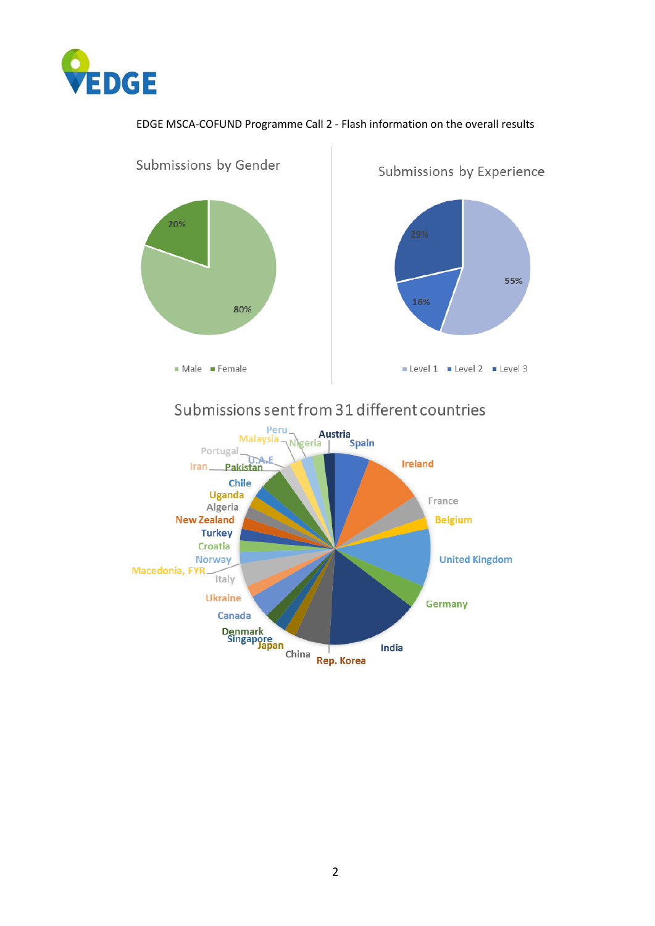

## EDGE MSCA-COFUND Programme Call 2 - Flash information on the overall results

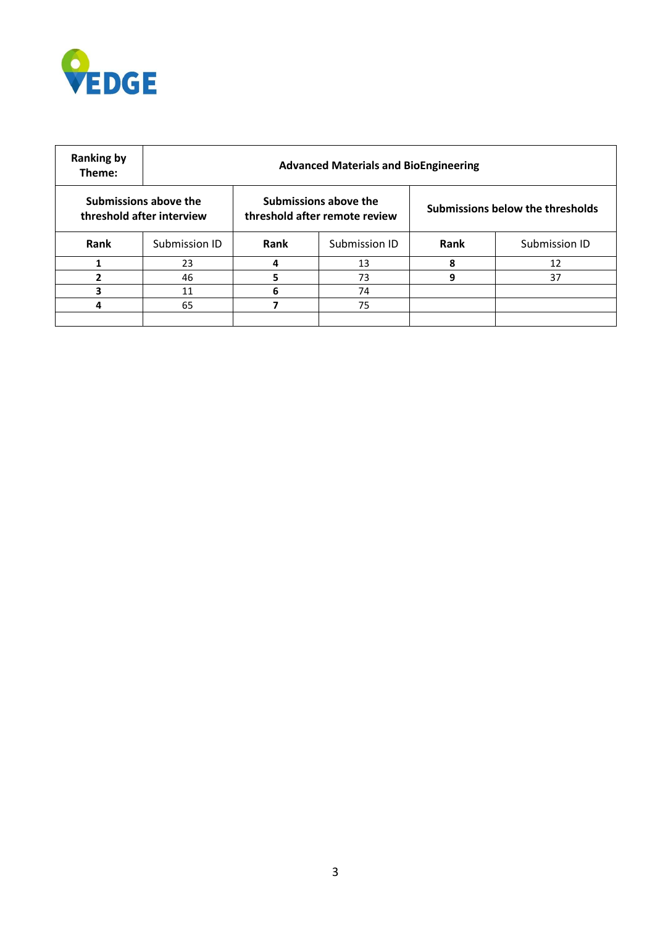

| <b>Ranking by</b><br>Theme: | <b>Advanced Materials and BioEngineering</b>       |      |                                                        |      |                                  |  |
|-----------------------------|----------------------------------------------------|------|--------------------------------------------------------|------|----------------------------------|--|
|                             | Submissions above the<br>threshold after interview |      | Submissions above the<br>threshold after remote review |      | Submissions below the thresholds |  |
| Rank                        | Submission ID                                      | Rank | Submission ID                                          | Rank | Submission ID                    |  |
|                             | 23                                                 | 4    | 13                                                     | 8    | 12                               |  |
| 2                           | 46                                                 | 5    | 73                                                     | 9    | 37                               |  |
| 3                           | 11                                                 | 6    | 74                                                     |      |                                  |  |
| 4                           | 65                                                 |      | 75                                                     |      |                                  |  |
|                             |                                                    |      |                                                        |      |                                  |  |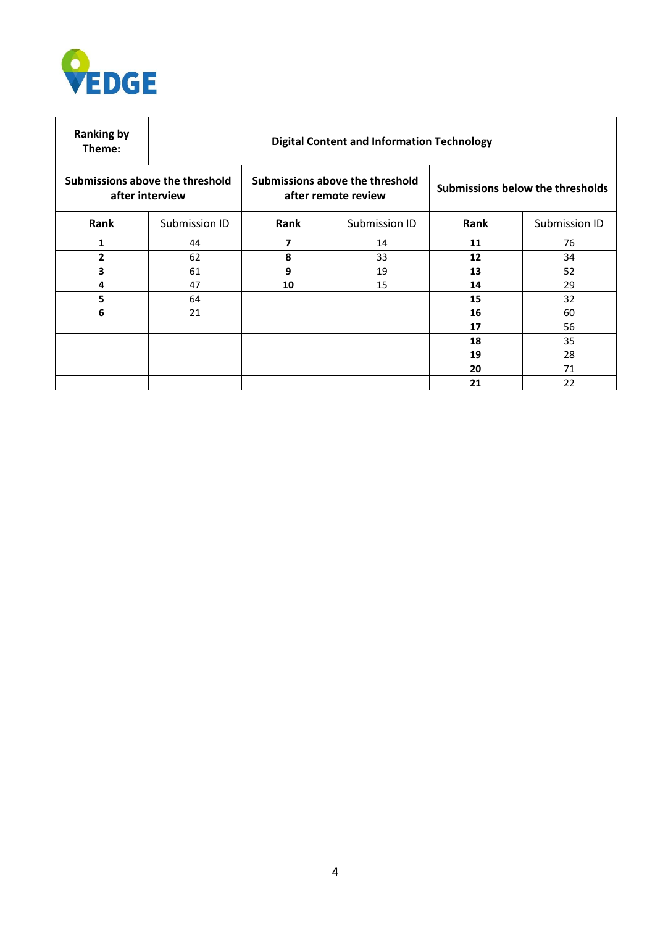

| <b>Ranking by</b><br>Theme:                        | <b>Digital Content and Information Technology</b> |                                                        |               |                                  |               |
|----------------------------------------------------|---------------------------------------------------|--------------------------------------------------------|---------------|----------------------------------|---------------|
| Submissions above the threshold<br>after interview |                                                   | Submissions above the threshold<br>after remote review |               | Submissions below the thresholds |               |
| Rank                                               | Submission ID                                     | Rank                                                   | Submission ID | Rank                             | Submission ID |
| 1                                                  | 44                                                | 7                                                      | 14            | 11                               | 76            |
| 2                                                  | 62                                                | 8                                                      | 33            | 12                               | 34            |
| 3                                                  | 61                                                | 9                                                      | 19            | 13                               | 52            |
| 4                                                  | 47                                                | 10                                                     | 15            | 14                               | 29            |
| 5                                                  | 64                                                |                                                        |               | 15                               | 32            |
| 6                                                  | 21                                                |                                                        |               | 16                               | 60            |
|                                                    |                                                   |                                                        |               | 17                               | 56            |
|                                                    |                                                   |                                                        |               | 18                               | 35            |
|                                                    |                                                   |                                                        |               | 19                               | 28            |
|                                                    |                                                   |                                                        |               | 20                               | 71            |
|                                                    |                                                   |                                                        |               | 21                               | 22            |